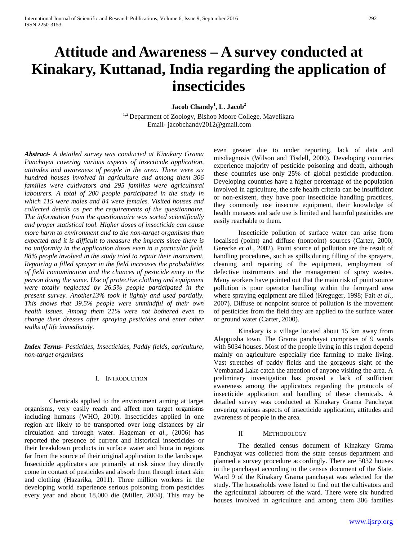# **Attitude and Awareness – A survey conducted at Kinakary, Kuttanad, India regarding the application of insecticides**

**Jacob Chandy1 , L. Jacob<sup>2</sup>**

<sup>1,2</sup> Department of Zoology, Bishop Moore College, Mavelikara Email- jacobchandy2012@gmail.com

*Abstract***-** *A detailed survey was conducted at Kinakary Grama Panchayat covering various aspects of insecticide application, attitudes and awareness of people in the area. There were six hundred houses involved in agriculture and among them 306 families were cultivators and 295 families were agricultural labourers. A total of 200 people participated in the study in which 115 were males and 84 were females. Visited houses and collected details as per the requirements of the questionnaire. The information from the questionnaire was sorted scientifically and proper statistical tool. Higher doses of insecticide can cause more harm to environment and to the non-target organisms than expected and it is difficult to measure the impacts since there is no uniformity in the application doses even in a particular field. 88% people involved in the study tried to repair their instrument. Repairing a filled sprayer in the field increases the probabilities of field contamination and the chances of pesticide entry to the person doing the same. Use of protective clothing and equipment were totally neglected by 26.5% people participated in the present survey. Another13% took it lightly and used partially. This shows that 39.5% people were unmindful of their own health issues. Among them 21% were not bothered even to change their dresses after spraying pesticides and enter other walks of life immediately.*

*Index Terms*- *Pesticides, Insecticides, Paddy fields, agriculture, non-target organisms*

#### I. INTRODUCTION

Chemicals applied to the environment aiming at target organisms, very easily reach and affect non target organisms including humans (WHO, 2010). Insecticides applied in one region are likely to be transported over long distances by air circulation and through water. Hageman *et al.,* (2006) has reported the presence of current and historical insecticides or their breakdown products in surface water and biota in regions far from the source of their original application to the landscape. Insecticide applicators are primarily at risk since they directly come in contact of pesticides and absorb them through intact skin and clothing (Hazarika, 2011). Three million workers in the developing world experience serious poisoning from pesticides every year and about 18,000 die (Miller, 2004). This may be even greater due to under reporting, lack of data and misdiagnosis (Wilson and Tisdell, 2000). Developing countries experience majority of pesticide poisoning and death, although these countries use only 25% of global pesticide production. Developing countries have a higher percentage of the population involved in agriculture, the safe health criteria can be insufficient or non-existent, they have poor insecticide handling practices, they commonly use insecure equipment, their knowledge of health menaces and safe use is limited and harmful pesticides are easily reachable to them.

Insecticide pollution of surface water can arise from localised (point) and diffuse (nonpoint) sources (Carter, 2000; Gerecke *et al*., 2002). Point source of pollution are the result of handling procedures, such as spills during filling of the sprayers, cleaning and repairing of the equipment, employment of defective instruments and the management of spray wastes. Many workers have pointed out that the main risk of point source pollution is poor operator handling within the farmyard area where spraying equipment are filled (Kreguger, 1998; Fait *et al*., 2007). Diffuse or nonpoint source of pollution is the movement of pesticides from the field they are applied to the surface water or ground water (Carter, 2000).

Kinakary is a village located about 15 km away from Alappuzha town. The Grama panchayat comprises of 9 wards with 5034 houses. Most of the people living in this region depend mainly on agriculture especially rice farming to make living. Vast stretches of paddy fields and the gorgeous sight of the Vembanad Lake catch the attention of anyone visiting the area. A preliminary investigation has proved a lack of sufficient awareness among the applicators regarding the protocols of insecticide application and handling of these chemicals. A detailed survey was conducted at Kinakary Grama Panchayat covering various aspects of insecticide application, attitudes and awareness of people in the area.

#### II METHODOLOGY

The detailed census document of Kinakary Grama Panchayat was collected from the state census department and planned a survey procedure accordingly. There are 5032 houses in the panchayat according to the census document of the State. Ward 9 of the Kinakary Grama panchayat was selected for the study. The households were listed to find out the cultivators and the agricultural labourers of the ward. There were six hundred houses involved in agriculture and among them 306 families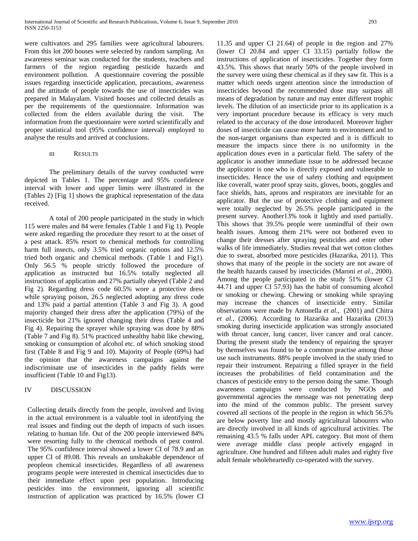were cultivators and 295 families were agricultural labourers. From this lot 200 houses were selected by random sampling. An awareness seminar was conducted for the students, teachers and farmers of the region regarding pesticide hazards and environment pollution. A questionnaire covering the possible issues regarding insecticide application, precautions, awareness and the attitude of people towards the use of insecticides was prepared in Malayalam. Visited houses and collected details as per the requirements of the questionnaire. Information was collected from the elders available during the visit. The information from the questionnaire were sorted scientifically and proper statistical tool (95% confidence interval) employed to analyse the results and arrived at conclusions.

III RESULTS

The preliminary details of the survey conducted were depicted in Tables 1. The percentage and 95% confidence interval with lower and upper limits were illustrated in the (Tables 2) [Fig 1] shows the graphical representation of the data received.

A total of 200 people participated in the study in which 115 were males and 84 were females (Table 1 and Fig 1). People were asked regarding the procedure they resort to at the onset of a pest attack. 85% resort to chemical methods for controlling harm full insects, only 3.5% tried organic options and 12.5% tried both organic and chemical methods. (Table 1 and Fig1). Only 56.5 % people strictly followed the procedure of application as instructed but 16.5% totally neglected all instructions of application and 27% partially obeyed (Table 2 and Fig 2). Regarding dress code 60.5% wore a protective dress while spraying poison, 26.5 neglected adopting any dress code and 13% paid a partial attention (Table 3 and Fig 3). A good majority changed their dress after the application (79%) of the insecticide but 21% ignored changing their dress (Table 4 and Fig 4). Repairing the sprayer while spraying was done by 88% (Table 7 and Fig 8). 51% practiced unhealthy habit like chewing, smoking or consumption of alcohol etc. of which smoking stood first (Table 8 and Fig 9 and 10). Majority of People (69%) had the opinion that the awareness campaigns against the indiscriminate use of insecticides in the paddy fields were insufficient (Table 10 and Fig13).

## IV DISCUSSION

Collecting details directly from the people, involved and living in the actual environment is a valuable tool in identifying the real issues and finding out the depth of impacts of such issues relating to human life. Out of the 200 people interviewed 84% were resorting fully to the chemical methods of pest control. The 95% confidence interval showed a lower CI of 78.9 and an upper CI of 89.08. This reveals an unshakable dependence of peopleon chemical insecticides. Regardless of all awareness programs people were interested in chemical insecticides due to their immediate effect upon pest population. Introducing pesticides into the environment, ignoring all scientific instruction of application was practiced by 16.5% (lower CI

11.35 and upper CI 21.64) of people in the region and 27% (lower CI 20.84 and upper CI 33.15) partially follow the instructions of application of insecticides. Together they form 43.5%. This shows that nearly 50% of the people involved in the survey were using these chemical as if they saw fit. This is a matter which needs urgent attention since the introduction of insecticides beyond the recommended dose may surpass all means of degradation by nature and may enter different trophic levels. The dilution of an insecticide prior to its application is a very important procedure because its efficacy is very much related to the accuracy of the dose introduced. Moreover higher doses of insecticide can cause more harm to environment and to the non-target organisms than expected and it is difficult to measure the impacts since there is no uniformity in the application doses even in a particular field. The safety of the applicator is another immediate issue to be addressed because the applicator is one who is directly exposed and vulnerable to insecticides. Hence the use of safety clothing and equipment like coverall, water proof spray suits, gloves, boots, goggles and face shields, hats, aprons and respirators are inevitable for an applicator. But the use of protective clothing and equipment were totally neglected by 26.5% people participated in the present survey. Another13% took it lightly and used partially. This shows that 39.5% people were unmindful of their own health issues. Among them 21% were not bothered even to change their dresses after spraying pesticides and enter other walks of life immediately. Studies reveal that wet cotton clothes due to sweat, absorbed more pesticides (Hazarika, 2011). This shows that many of the people in the society are not aware of the health hazards caused by insecticides (Maroni *et al.,* 2000). Among the people participated in the study 51% (lower CI 44.71 and upper CI 57.93) has the habit of consuming alcohol or smoking or chewing. Chewing or smoking while spraying may increase the chances of insecticide entry. Similar observations were made by Antonella *et al.,* (2001) and Chitra *et al.*, (2006). According to Hazarika and Hazarika (2013) smoking during insecticide application was strongly associated with throat cancer, lung cancer, liver cancer and oral cancer. During the present study the tendency of repairing the sprayer by themselves was found to be a common practise among those use such instruments. 88% people involved in the study tried to repair their instrument. Repairing a filled sprayer in the field increases the probabilities of field contamination and the chances of pesticide entry to the person doing the same. Though awareness campaigns were conducted by NGOs and governmental agencies the message was not penetrating deep into the mind of the common public. The present survey covered all sections of the people in the region in which 56.5% are below poverty line and mostly agricultural labourers who are directly involved in all kinds of agricultural activities. The remaining 43.5 % falls under APL category. But most of them were average middle class people actively engaged in agriculture. One hundred and fifteen adult males and eighty five adult female wholeheartedly co-operated with the survey.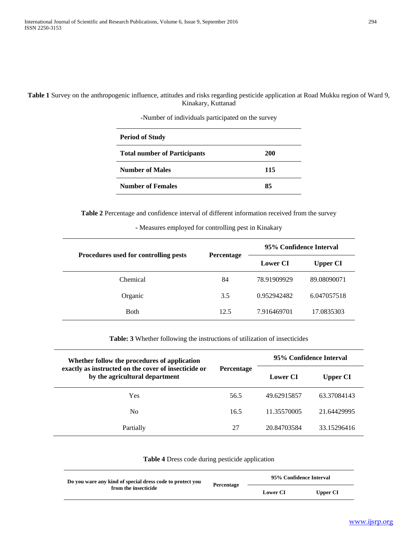**Table 1** Survey on the anthropogenic influence, attitudes and risks regarding pesticide application at Road Mukku region of Ward 9, Kinakary, Kuttanad

| <b>Period of Study</b>              |            |
|-------------------------------------|------------|
| <b>Total number of Participants</b> | <b>200</b> |
| <b>Number of Males</b>              | 115        |
| <b>Number of Females</b>            | 85         |

-Number of individuals participated on the survey

**Table 2** Percentage and confidence interval of different information received from the survey

## **-** Measures employed for controlling pest in Kinakary

|                                       | Percentage | 95% Confidence Interval |                 |
|---------------------------------------|------------|-------------------------|-----------------|
| Procedures used for controlling pests |            | <b>Lower CI</b>         | <b>Upper CI</b> |
| Chemical                              | 84         | 78.91909929             | 89.08090071     |
| Organic                               | 3.5        | 0.952942482             | 6.047057518     |
| <b>Both</b>                           | 12.5       | 7.916469701             | 17.0835303      |

**Table: 3** Whether following the instructions of utilization of insecticides

| Whether follow the procedures of application                                           | <b>Percentage</b> | 95% Confidence Interval |                 |
|----------------------------------------------------------------------------------------|-------------------|-------------------------|-----------------|
| exactly as instructed on the cover of insecticide or<br>by the agricultural department |                   | <b>Lower CI</b>         | <b>Upper CI</b> |
| Yes                                                                                    | 56.5              | 49.62915857             | 63.37084143     |
| N <sub>0</sub>                                                                         | 16.5              | 11.35570005             | 21.64429995     |
| Partially                                                                              | 27                | 20.84703584             | 33.15296416     |

**Table 4** Dress code during pesticide application

| Do you ware any kind of special dress code to protect you<br>from the insecticide |            | 95% Confidence Interval |          |
|-----------------------------------------------------------------------------------|------------|-------------------------|----------|
|                                                                                   | Percentage | <b>Lower CI</b>         | Upper CI |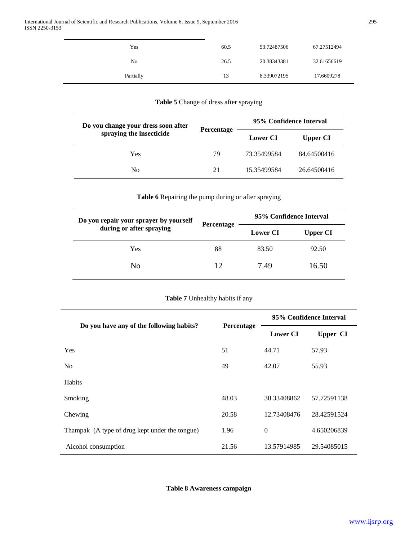| Yes            | 60.5 | 53.72487506 | 67.27512494 |
|----------------|------|-------------|-------------|
| N <sub>0</sub> | 26.5 | 20.38343381 | 32.61656619 |
| Partially      | 13   | 8.339072195 | 17.6609278  |

# **Table 5** Change of dress after spraying

| Do you change your dress soon after | <b>Percentage</b> | 95% Confidence Interval |                 |
|-------------------------------------|-------------------|-------------------------|-----------------|
| spraying the insecticide            |                   | <b>Lower CI</b>         | <b>Upper CI</b> |
| Yes                                 | 79                | 73.35499584             | 84.64500416     |
| No                                  | 21                | 15.35499584             | 26.64500416     |

#### **Table 6** Repairing the pump during or after spraying

| Do you repair your sprayer by yourself | <b>Percentage</b> | 95% Confidence Interval |                 |
|----------------------------------------|-------------------|-------------------------|-----------------|
| during or after spraying               |                   | <b>Lower CI</b>         | <b>Upper CI</b> |
| Yes                                    | 88                | 83.50                   | 92.50           |
| No                                     | 12                | 7.49                    | 16.50           |

# **Table 7** Unhealthy habits if any

|                                                |            | 95% Confidence Interval |                 |
|------------------------------------------------|------------|-------------------------|-----------------|
| Do you have any of the following habits?       | Percentage | <b>Lower CI</b>         | <b>Upper CI</b> |
| <b>Yes</b>                                     | 51         | 44.71                   | 57.93           |
| N <sub>0</sub>                                 | 49         | 42.07                   | 55.93           |
| Habits                                         |            |                         |                 |
| Smoking                                        | 48.03      | 38.33408862             | 57.72591138     |
| Chewing                                        | 20.58      | 12.73408476             | 28.42591524     |
| Thampak (A type of drug kept under the tongue) | 1.96       | $\theta$                | 4.650206839     |
| Alcohol consumption                            | 21.56      | 13.57914985             | 29.54085015     |

**Table 8 Awareness campaign**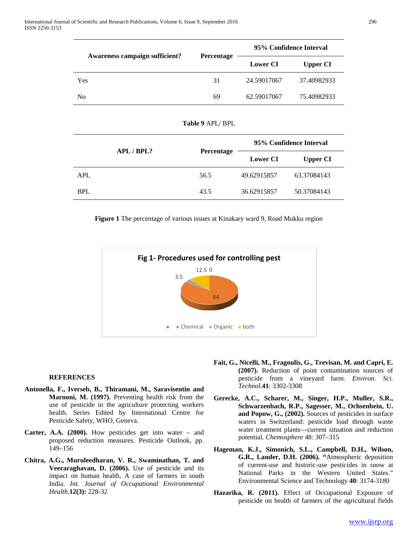|                                | <b>Percentage</b> | 95% Confidence Interval |                 |  |
|--------------------------------|-------------------|-------------------------|-----------------|--|
| Awareness campaign sufficient? |                   | <b>Lower CI</b>         | <b>Upper CI</b> |  |
| Yes                            | 31                | 24.59017067             | 37.40982933     |  |
| N <sub>0</sub>                 | 69                | 62.59017067             | 75.40982933     |  |

| Table 9 APL/ BPL |  |
|------------------|--|
|------------------|--|

|            | APL / BPL? |                   |                 | 95% Confidence Interval |
|------------|------------|-------------------|-----------------|-------------------------|
|            |            | <b>Percentage</b> | <b>Lower CI</b> | <b>Upper CI</b>         |
| <b>APL</b> |            | 56.5              | 49.62915857     | 63.37084143             |
| <b>BPL</b> |            | 43.5              | 36.62915857     | 50.37084143             |

**Figure 1** The percentage of various issues at Kinakary ward 9, Road Mukku region



#### **REFERENCES**

- **Antonella, F., Iverseb, B., Thiramani, M., Saravisentin and Marnoni, M. (1997).** Preventing health risk from the use of pesticide in the agriculture protecting workers health. Series Edited by International Centre for Pesticide Safety, WHO, Geneva.
- **Carter, A.A. (2000).** How pesticides get into water and proposed reduction measures. Pesticide Outlook, pp. 149–156
- **Chitra, A.G., Muruleedharan, V. R., Swaminathan, T. and Veeraraghavan, D. (2006).** Use of pesticide and its impact on human health, A case of farmers in south India. *Int. Journal of Occupational Environmental Health,***12(3):** 228-32
- **Fait, G., Nicelli, M., Fragoulis, G., Trevisan, M. and Capri, E. (2007).** Reduction of point contamination sources of pesticide from a vineyard farm. *Environ. Sci. Technol.***41**: 3302-3308
- **Gerecke, A.C., Scharer, M., Singer, H.P., Muller, S.R., Schwarzenbach, R.P., Sagesser, M., Ochsenbein, U. and Popow, G., (2002).** Sources of pesticides in surface waters in Switzerland: pesticide load through waste water treatment plants—current situation and reduction potential. *Chemosphere* 48: 307–315
- **Hageman, K.J., Simonich, S.L., Campbell, D.H., Wilson, G.R., Lander, D.H. (2006). "**Atmospheric deposition of current-use and historic-use pesticides in snow at National Parks in the Western United States." Environmental Science and Technology **40**: 3174-3180
- **Hazarika, R. (2011).** Effect of Occupational Exposure of pesticide on health of farmers of the agricultural fields